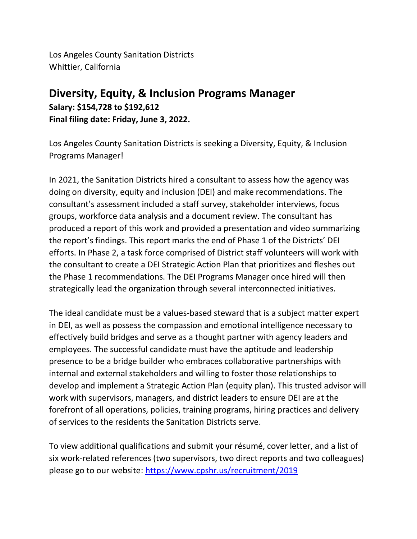Los Angeles County Sanitation Districts Whittier, California

## **Diversity, Equity, & Inclusion Programs Manager Salary: \$154,728 to \$192,612 Final filing date: Friday, June 3, 2022.**

Los Angeles County Sanitation Districts is seeking a Diversity, Equity, & Inclusion Programs Manager!

In 2021, the Sanitation Districts hired a consultant to assess how the agency was doing on diversity, equity and inclusion (DEI) and make recommendations. The consultant's assessment included a staff survey, stakeholder interviews, focus groups, workforce data analysis and a document review. The consultant has produced a report of this work and provided a presentation and video summarizing the report's findings. This report marks the end of Phase 1 of the Districts' DEI efforts. In Phase 2, a task force comprised of District staff volunteers will work with the consultant to create a DEI Strategic Action Plan that prioritizes and fleshes out the Phase 1 recommendations. The DEI Programs Manager once hired will then strategically lead the organization through several interconnected initiatives.

The ideal candidate must be a values-based steward that is a subject matter expert in DEI, as well as possess the compassion and emotional intelligence necessary to effectively build bridges and serve as a thought partner with agency leaders and employees. The successful candidate must have the aptitude and leadership presence to be a bridge builder who embraces collaborative partnerships with internal and external stakeholders and willing to foster those relationships to develop and implement a Strategic Action Plan (equity plan). This trusted advisor will work with supervisors, managers, and district leaders to ensure DEI are at the forefront of all operations, policies, training programs, hiring practices and delivery of services to the residents the Sanitation Districts serve.

To view additional qualifications and submit your résumé, cover letter, and a list of six work-related references (two supervisors, two direct reports and two colleagues) please go to our website: <https://www.cpshr.us/recruitment/2019>